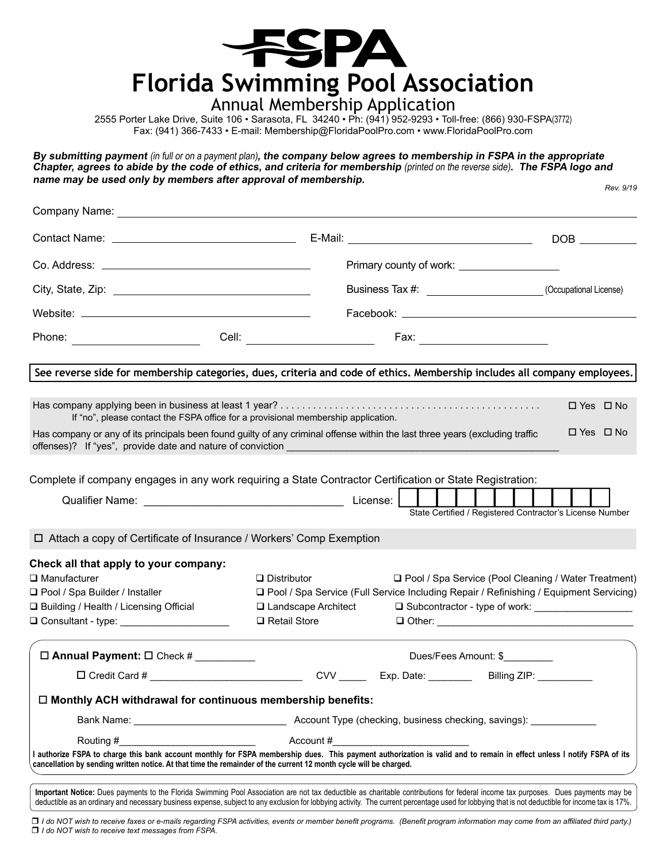

### Annual Membership Application

2555 Porter Lake Drive, Suite 106 • Sarasota, FL 34240 • Ph: (941) 952-9293 • Toll-free: (866) 930-FSPA(3772) Fax: (941) 366-7433 • E-mail: Membership@FloridaPoolPro.com • www.FloridaPoolPro.com

*Rev. 9/19* **By submitting payment** (in full or on a payment plan)**, the company below agrees to membership in FSPA in the appropriate Chapter, agrees to abide by the code of ethics, and criteria for membership** (printed on the reverse side)**. The FSPA logo and name may be used only by members after approval of membership.** 

|                                                                                                                                                                                                                                                                                                                                                                                       |                                |                      | Primary county of work: ____________________                                             |  |  |  |
|---------------------------------------------------------------------------------------------------------------------------------------------------------------------------------------------------------------------------------------------------------------------------------------------------------------------------------------------------------------------------------------|--------------------------------|----------------------|------------------------------------------------------------------------------------------|--|--|--|
|                                                                                                                                                                                                                                                                                                                                                                                       |                                |                      | Business Tax #: _________________________(Occupational License)                          |  |  |  |
|                                                                                                                                                                                                                                                                                                                                                                                       |                                |                      |                                                                                          |  |  |  |
| Phone: _________________________                                                                                                                                                                                                                                                                                                                                                      | Cell: ________________________ |                      | Fax: _________________________                                                           |  |  |  |
| See reverse side for membership categories, dues, criteria and code of ethics. Membership includes all company employees.                                                                                                                                                                                                                                                             |                                |                      |                                                                                          |  |  |  |
| If "no", please contact the FSPA office for a provisional membership application.                                                                                                                                                                                                                                                                                                     |                                |                      | $\Box$ Yes $\Box$ No                                                                     |  |  |  |
| Has company or any of its principals been found guilty of any criminal offense within the last three years (excluding traffic                                                                                                                                                                                                                                                         |                                |                      | $\Box$ Yes $\Box$ No                                                                     |  |  |  |
| Complete if company engages in any work requiring a State Contractor Certification or State Registration:                                                                                                                                                                                                                                                                             |                                |                      |                                                                                          |  |  |  |
|                                                                                                                                                                                                                                                                                                                                                                                       |                                |                      |                                                                                          |  |  |  |
|                                                                                                                                                                                                                                                                                                                                                                                       |                                |                      | State Certified / Registered Contractor's License Number                                 |  |  |  |
| □ Attach a copy of Certificate of Insurance / Workers' Comp Exemption                                                                                                                                                                                                                                                                                                                 |                                |                      |                                                                                          |  |  |  |
| Check all that apply to your company:                                                                                                                                                                                                                                                                                                                                                 |                                |                      |                                                                                          |  |  |  |
| $\Box$ Manufacturer                                                                                                                                                                                                                                                                                                                                                                   | $\Box$ Distributor             |                      | □ Pool / Spa Service (Pool Cleaning / Water Treatment)                                   |  |  |  |
| □ Pool / Spa Builder / Installer                                                                                                                                                                                                                                                                                                                                                      |                                |                      | □ Pool / Spa Service (Full Service Including Repair / Refinishing / Equipment Servicing) |  |  |  |
| □ Building / Health / Licensing Official                                                                                                                                                                                                                                                                                                                                              | □ Landscape Architect          |                      | □ Subcontractor - type of work: ______________________                                   |  |  |  |
| O Consultant - type: _______________________                                                                                                                                                                                                                                                                                                                                          | □ Retail Store                 |                      |                                                                                          |  |  |  |
| □ Annual Payment: □ Check #                                                                                                                                                                                                                                                                                                                                                           |                                | Dues/Fees Amount: \$ |                                                                                          |  |  |  |
|                                                                                                                                                                                                                                                                                                                                                                                       |                                |                      | CVV _________ Exp. Date: ____________ Billing ZIP: ___________                           |  |  |  |
| $\Box$ Monthly ACH withdrawal for continuous membership benefits:                                                                                                                                                                                                                                                                                                                     |                                |                      |                                                                                          |  |  |  |
|                                                                                                                                                                                                                                                                                                                                                                                       |                                |                      |                                                                                          |  |  |  |
| Routing #                                                                                                                                                                                                                                                                                                                                                                             | Account #                      |                      |                                                                                          |  |  |  |
| I authorize FSPA to charge this bank account monthly for FSPA membership dues. This payment authorization is valid and to remain in effect unless I notify FSPA of its<br>cancellation by sending written notice. At that time the remainder of the current 12 month cycle will be charged.                                                                                           |                                |                      |                                                                                          |  |  |  |
| Important Notice: Dues payments to the Florida Swimming Pool Association are not tax deductible as charitable contributions for federal income tax purposes. Dues payments may be<br>deductible as an ordinary and necessary business expense, subject to any exclusion for lobbying activity. The current percentage used for lobbying that is not deductible for income tax is 17%. |                                |                      |                                                                                          |  |  |  |

r *I do NOT wish to receive faxes or e-mails regarding FSPA activities, events or member benefit programs. (Benefit program information may come from an affiliated third party.)*  $\Box$  *I do NOT wish to receive text messages from FSPA.*